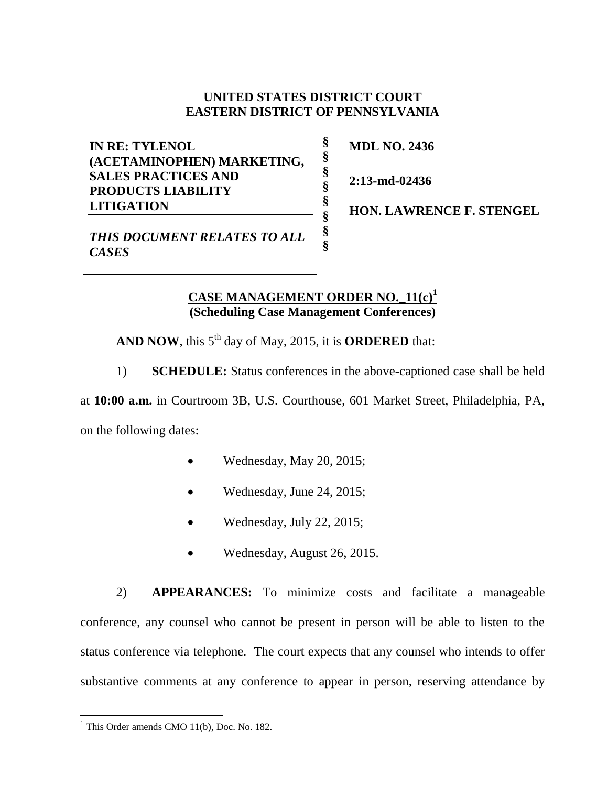## **UNITED STATES DISTRICT COURT EASTERN DISTRICT OF PENNSYLVANIA**

**§ § § § § § § §**

**IN RE: TYLENOL (ACETAMINOPHEN) MARKETING, SALES PRACTICES AND PRODUCTS LIABILITY LITIGATION**

**MDL NO. 2436**

**2:13-md-02436**

**HON. LAWRENCE F. STENGEL** 

*THIS DOCUMENT RELATES TO ALL CASES*

## **CASE MANAGEMENT ORDER NO.\_11(c) 1 (Scheduling Case Management Conferences)**

AND NOW, this 5<sup>th</sup> day of May, 2015, it is **ORDERED** that:

1) **SCHEDULE:** Status conferences in the above-captioned case shall be held

at **10:00 a.m.** in Courtroom 3B, U.S. Courthouse, 601 Market Street, Philadelphia, PA, on the following dates:

- Wednesday, May 20, 2015;
- Wednesday, June 24, 2015;
- Wednesday, July 22, 2015;
- Wednesday, August 26, 2015.

2) **APPEARANCES:** To minimize costs and facilitate a manageable conference, any counsel who cannot be present in person will be able to listen to the status conference via telephone. The court expects that any counsel who intends to offer substantive comments at any conference to appear in person, reserving attendance by

 $\overline{a}$ 

 $<sup>1</sup>$  This Order amends CMO 11(b), Doc. No. 182.</sup>